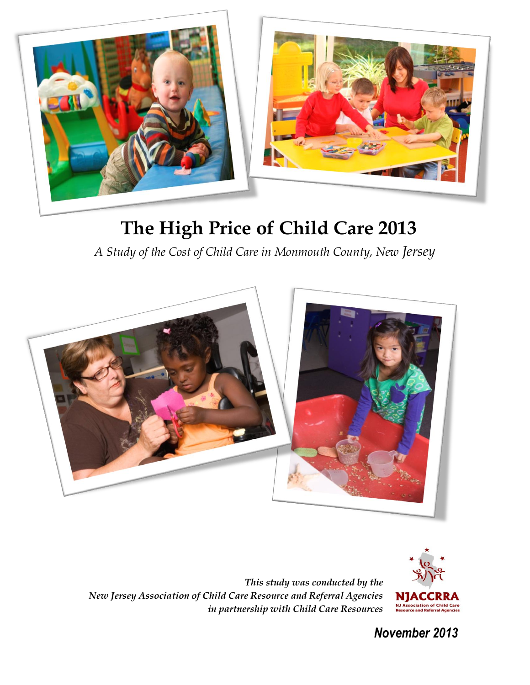

# **The High Price of Child Care 2013**

*A Study of the Cost of Child Care in Monmouth County, New Jersey*



*This study was conducted by the New Jersey Association of Child Care Resource and Referral Agencies in partnership with Child Care Resources*



 *November 2013*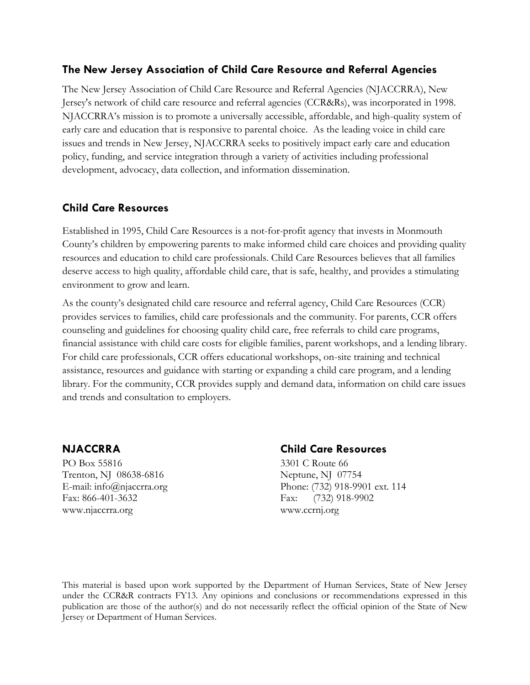#### **The New Jersey Association of Child Care Resource and Referral Agencies**

The New Jersey Association of Child Care Resource and Referral Agencies (NJACCRRA), New Jersey's network of child care resource and referral agencies (CCR&Rs), was incorporated in 1998. NJACCRRA's mission is to promote a universally accessible, affordable, and high-quality system of early care and education that is responsive to parental choice. As the leading voice in child care issues and trends in New Jersey, NJACCRRA seeks to positively impact early care and education policy, funding, and service integration through a variety of activities including professional development, advocacy, data collection, and information dissemination.

#### **Child Care Resources**

Established in 1995, Child Care Resources is a not-for-profit agency that invests in Monmouth County's children by empowering parents to make informed child care choices and providing quality resources and education to child care professionals. Child Care Resources believes that all families deserve access to high quality, affordable child care, that is safe, healthy, and provides a stimulating environment to grow and learn.

As the county's designated child care resource and referral agency, Child Care Resources (CCR) provides services to families, child care professionals and the community. For parents, CCR offers counseling and guidelines for choosing quality child care, free referrals to child care programs, financial assistance with child care costs for eligible families, parent workshops, and a lending library. For child care professionals, CCR offers educational workshops, on-site training and technical assistance, resources and guidance with starting or expanding a child care program, and a lending library. For the community, CCR provides supply and demand data, information on child care issues and trends and consultation to employers.

PO Box 55816 3301 C Route 66 Trenton, NJ 08638-6816 Neptune, NJ 07754 Fax: 866-401-3632 Fax: (732) 918-9902 [www.njaccrra.org](http://www.njaccrra.org/) www.ccrnj.org

#### **NJACCRRA Child Care Resources**

E-mail: [info@njaccrra.org](mailto:info@njaccrra.org) Phone: (732) 918-9901 ext. 114

This material is based upon work supported by the Department of Human Services, State of New Jersey under the CCR&R contracts FY13. Any opinions and conclusions or recommendations expressed in this publication are those of the author(s) and do not necessarily reflect the official opinion of the State of New Jersey or Department of Human Services.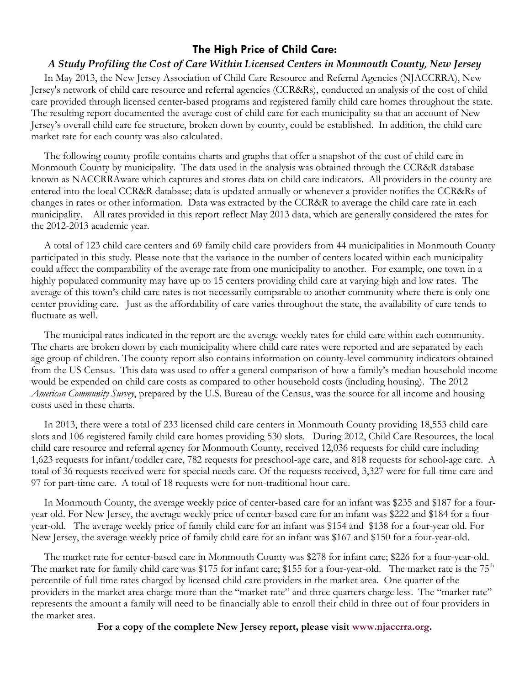#### **The High Price of Child Care:**

#### *A Study Profiling the Cost of Care Within Licensed Centers in Monmouth County, New Jersey*

 In May 2013, the New Jersey Association of Child Care Resource and Referral Agencies (NJACCRRA), New Jersey's network of child care resource and referral agencies (CCR&Rs), conducted an analysis of the cost of child care provided through licensed center-based programs and registered family child care homes throughout the state. The resulting report documented the average cost of child care for each municipality so that an account of New Jersey's overall child care fee structure, broken down by county, could be established. In addition, the child care market rate for each county was also calculated.

 The following county profile contains charts and graphs that offer a snapshot of the cost of child care in Monmouth County by municipality. The data used in the analysis was obtained through the CCR&R database known as NACCRRAware which captures and stores data on child care indicators. All providers in the county are entered into the local CCR&R database; data is updated annually or whenever a provider notifies the CCR&Rs of changes in rates or other information. Data was extracted by the CCR&R to average the child care rate in each municipality. All rates provided in this report reflect May 2013 data, which are generally considered the rates for the 2012-2013 academic year.

 A total of 123 child care centers and 69 family child care providers from 44 municipalities in Monmouth County participated in this study. Please note that the variance in the number of centers located within each municipality could affect the comparability of the average rate from one municipality to another. For example, one town in a highly populated community may have up to 15 centers providing child care at varying high and low rates. The average of this town's child care rates is not necessarily comparable to another community where there is only one center providing care. Just as the affordability of care varies throughout the state, the availability of care tends to fluctuate as well.

 The municipal rates indicated in the report are the average weekly rates for child care within each community. The charts are broken down by each municipality where child care rates were reported and are separated by each age group of children. The county report also contains information on county-level community indicators obtained from the US Census. This data was used to offer a general comparison of how a family's median household income would be expended on child care costs as compared to other household costs (including housing). The 2012 *American Community Survey*, prepared by the U.S. Bureau of the Census, was the source for all income and housing costs used in these charts.

 In 2013, there were a total of 233 licensed child care centers in Monmouth County providing 18,553 child care slots and 106 registered family child care homes providing 530 slots. During 2012, Child Care Resources, the local child care resource and referral agency for Monmouth County, received 12,036 requests for child care including 1,623 requests for infant/toddler care, 782 requests for preschool-age care, and 818 requests for school-age care. A total of 36 requests received were for special needs care. Of the requests received, 3,327 were for full-time care and 97 for part-time care. A total of 18 requests were for non-traditional hour care.

 In Monmouth County, the average weekly price of center-based care for an infant was \$235 and \$187 for a fouryear old. For New Jersey, the average weekly price of center-based care for an infant was \$222 and \$184 for a fouryear-old. The average weekly price of family child care for an infant was \$154 and \$138 for a four-year old. For New Jersey, the average weekly price of family child care for an infant was \$167 and \$150 for a four-year-old.

 The market rate for center-based care in Monmouth County was \$278 for infant care; \$226 for a four-year-old. The market rate for family child care was \$175 for infant care; \$155 for a four-year-old. The market rate is the  $75<sup>th</sup>$ percentile of full time rates charged by licensed child care providers in the market area. One quarter of the providers in the market area charge more than the "market rate" and three quarters charge less. The "market rate" represents the amount a family will need to be financially able to enroll their child in three out of four providers in the market area.

**For a copy of the complete New Jersey report, please visit [www.njaccrra.org.](http://www.njaccrra.org/)**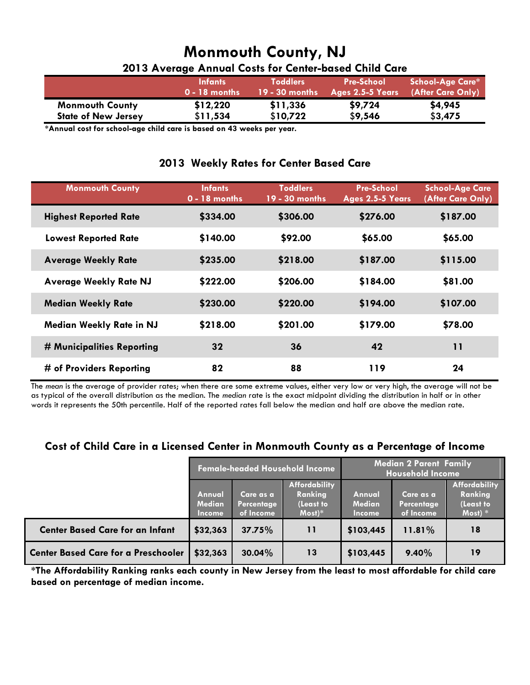| 2013 Average Annual Costs for Center-based Child Care |                                   |                                     |                                       |                                              |  |  |
|-------------------------------------------------------|-----------------------------------|-------------------------------------|---------------------------------------|----------------------------------------------|--|--|
|                                                       | <b>Infants</b><br>$0 - 18$ months | <b>Toddlers</b><br>$19 - 30$ months | <b>Pre-School</b><br>Ages 2.5-5 Years | <b>School-Age Care*</b><br>(After Care Only) |  |  |
| <b>Monmouth County</b>                                | \$12,220                          | \$11,336                            | \$9,724                               | \$4,945                                      |  |  |
| <b>State of New Jersey</b>                            | \$11,534                          | \$10,722                            | \$9,546                               | \$3,475                                      |  |  |

 **\*Annual cost for school-age child care is based on 43 weeks per year.**

#### **2013 Weekly Rates for Center Based Care**

| <b>Monmouth County</b>          | <b>Infants</b><br>$0 - 18$ months | <b>Toddlers</b><br>19 - 30 months | <b>Pre-School</b><br>Ages 2.5-5 Years | <b>School-Age Care</b><br>(After Care Only) |
|---------------------------------|-----------------------------------|-----------------------------------|---------------------------------------|---------------------------------------------|
| <b>Highest Reported Rate</b>    | \$334.00                          | \$306.00                          | \$276.00                              | \$187.00                                    |
| <b>Lowest Reported Rate</b>     | \$140.00                          | \$92.00                           | \$65.00                               | \$65.00                                     |
| <b>Average Weekly Rate</b>      | \$235.00                          | \$218.00                          | \$187.00                              | \$115.00                                    |
| <b>Average Weekly Rate NJ</b>   | \$222.00                          | \$206.00                          | \$184.00                              | \$81.00                                     |
| <b>Median Weekly Rate</b>       | \$230.00                          | \$220.00                          | \$194.00                              | \$107.00                                    |
| <b>Median Weekly Rate in NJ</b> | \$218.00                          | \$201.00                          | \$179.00                              | \$78.00                                     |
| # Municipalities Reporting      | 32                                | 36                                | 42                                    | 11                                          |
| # of Providers Reporting        | 82                                | 88                                | 119                                   | 24                                          |

The *mean* is the average of provider rates; when there are some extreme values, either very low or very high, the average will not be as typical of the overall distribution as the median. The *median* rate is the exact midpoint dividing the distribution in half or in other words it represents the 50th percentile. Half of the reported rates fall below the median and half are above the median rate.

#### **Cost of Child Care in a Licensed Center in Monmouth County as a Percentage of Income**

|                                            | <b>Female-headed Household Income</b>    |                                      |                                                   | <b>Median 2 Parent Family</b><br><b>Household Income</b> |                                             |                                                           |
|--------------------------------------------|------------------------------------------|--------------------------------------|---------------------------------------------------|----------------------------------------------------------|---------------------------------------------|-----------------------------------------------------------|
|                                            | Annual<br><b>Median</b><br><b>Income</b> | Care as a<br>Percentage<br>of Income | Affordability<br>Ranking<br>(Least to<br>$Most)*$ | Annual<br><b>Median</b><br><b>Income</b>                 | Care as a<br><b>Percentage</b><br>of Income | <b>Affordability</b><br>Ranking<br>(Least to<br>Most) $*$ |
| <b>Center Based Care for an Infant</b>     | \$32,363                                 | 37.75%                               | 11                                                | \$103,445                                                | 11.81%                                      | 18                                                        |
| <b>Center Based Care for a Preschooler</b> | \$32,363                                 | $30.04\%$                            | 13                                                | \$103,445                                                | 9.40%                                       | 19                                                        |

**\*The Affordability Ranking ranks each county in New Jersey from the least to most affordable for child care based on percentage of median income.**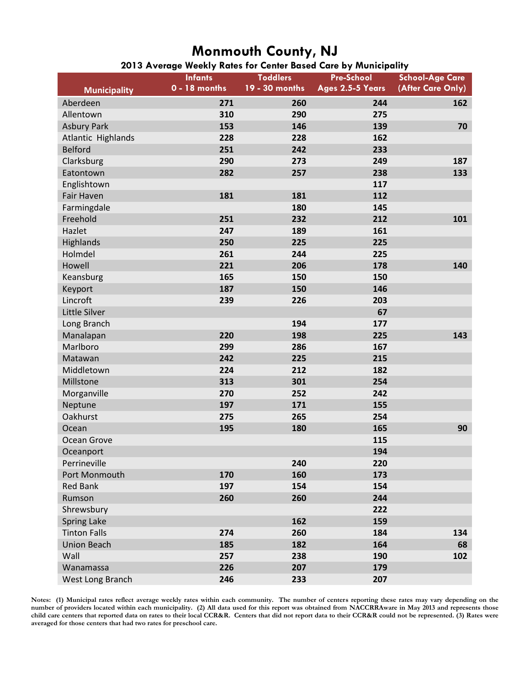| 2013 Average Weekly Rates for Center Based Care by Municipality |  |  |  |  |
|-----------------------------------------------------------------|--|--|--|--|
|                                                                 |  |  |  |  |

|                           | <b>Infants</b><br>$0 - 18$ months | <b>Toddlers</b><br>19 - 30 months | <b>Pre-School</b><br>Ages 2.5-5 Years | <b>School-Age Care</b><br>(After Care Only) |
|---------------------------|-----------------------------------|-----------------------------------|---------------------------------------|---------------------------------------------|
| <b>Municipality</b>       |                                   |                                   |                                       |                                             |
| Aberdeen                  | 271                               | 260                               | 244                                   | 162                                         |
| Allentown                 | 310                               | 290                               | 275                                   |                                             |
| <b>Asbury Park</b>        | 153                               | 146                               | 139                                   | 70                                          |
| <b>Atlantic Highlands</b> | 228                               | 228                               | 162                                   |                                             |
| <b>Belford</b>            | 251                               | 242                               | 233                                   |                                             |
| Clarksburg                | 290                               | 273                               | 249                                   | 187                                         |
| Eatontown                 | 282                               | 257                               | 238                                   | 133                                         |
| Englishtown               |                                   |                                   | 117                                   |                                             |
| Fair Haven                | 181                               | 181                               | 112                                   |                                             |
| Farmingdale               |                                   | 180                               | 145                                   |                                             |
| Freehold                  | 251                               | 232                               | 212                                   | 101                                         |
| Hazlet                    | 247                               | 189                               | 161                                   |                                             |
| Highlands                 | 250                               | 225                               | 225                                   |                                             |
| Holmdel                   | 261                               | 244                               | 225                                   |                                             |
| Howell                    | 221                               | 206                               | 178                                   | 140                                         |
| Keansburg                 | 165                               | 150                               | 150                                   |                                             |
| Keyport                   | 187                               | 150                               | 146                                   |                                             |
| Lincroft                  | 239                               | 226                               | 203                                   |                                             |
| Little Silver             |                                   |                                   | 67                                    |                                             |
| Long Branch               |                                   | 194                               | 177                                   |                                             |
| Manalapan                 | 220                               | 198                               | 225                                   | 143                                         |
| Marlboro                  | 299                               | 286                               | 167                                   |                                             |
| Matawan                   | 242                               | 225                               | 215                                   |                                             |
| Middletown                | 224                               | 212                               | 182                                   |                                             |
| Millstone                 | 313                               | 301                               | 254                                   |                                             |
| Morganville               | 270                               | 252                               | 242                                   |                                             |
| Neptune                   | 197                               | 171                               | 155                                   |                                             |
| Oakhurst                  | 275                               | 265                               | 254                                   |                                             |
| Ocean                     | 195                               | 180                               | 165                                   | 90                                          |
| Ocean Grove               |                                   |                                   | 115                                   |                                             |
| Oceanport                 |                                   |                                   | 194                                   |                                             |
| Perrineville              |                                   | 240                               | 220                                   |                                             |
| Port Monmouth             | 170                               | 160                               | 173                                   |                                             |
| <b>Red Bank</b>           | 197                               | 154                               | 154                                   |                                             |
| Rumson                    | 260                               | 260                               | 244                                   |                                             |
| Shrewsbury                |                                   |                                   | 222                                   |                                             |
| <b>Spring Lake</b>        |                                   | 162                               | 159                                   |                                             |
| <b>Tinton Falls</b>       | 274                               | 260                               | 184                                   | 134                                         |
| <b>Union Beach</b>        | 185                               | 182                               | 164                                   | 68                                          |
| Wall                      | 257                               | 238                               | 190                                   | 102                                         |
| Wanamassa                 | 226                               | 207                               | 179                                   |                                             |
| West Long Branch          | 246                               | 233                               | 207                                   |                                             |

**Notes: (1) Municipal rates reflect average weekly rates within each community. The number of centers reporting these rates may vary depending on the number of providers located within each municipality. (2) All data used for this report was obtained from NACCRRAware in May 2013 and represents those**  child care centers that reported data on rates to their local CCR&R. Centers that did not report data to their CCR&R could not be represented. (3) Rates were **averaged for those centers that had two rates for preschool care.**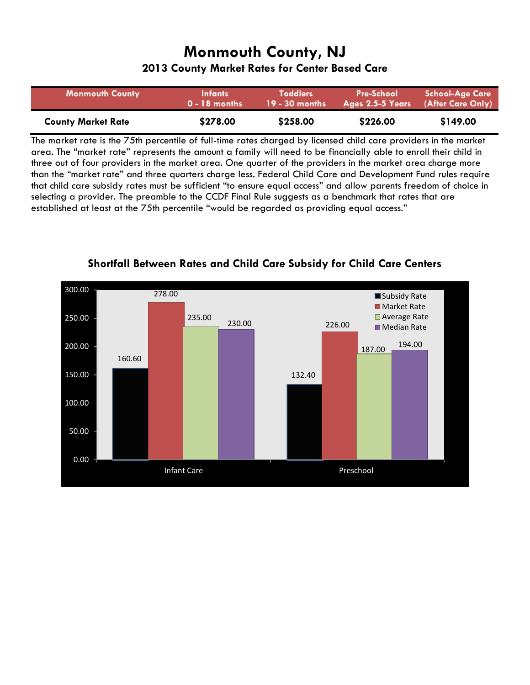**2013 County Market Rates for Center Based Care**

| <b>Monmouth County</b>    | <b>Infants</b>  | <b>Toddlers</b>  | <b>Pre-School</b> | <b>School-Age Care</b> |
|---------------------------|-----------------|------------------|-------------------|------------------------|
|                           | $0 - 18$ months | $19 - 30$ months | Ages 2.5-5 Years  | (After Care Only)      |
| <b>County Market Rate</b> | \$278.00        | \$258.00         | \$226.00          | \$149.00               |

The market rate is the 75th percentile of full-time rates charged by licensed child care providers in the market area. The "market rate" represents the amount a family will need to be financially able to enroll their child in three out of four providers in the market area. One quarter of the providers in the market area charge more than the "market rate" and three quarters charge less. Federal Child Care and Development Fund rules require that child care subsidy rates must be sufficient "to ensure equal access" and allow parents freedom of choice in selecting a provider. The preamble to the CCDF Final Rule suggests as a benchmark that rates that are established at least at the 75th percentile "would be regarded as providing equal access."



**Shortfall Between Rates and Child Care Subsidy for Child Care Centers**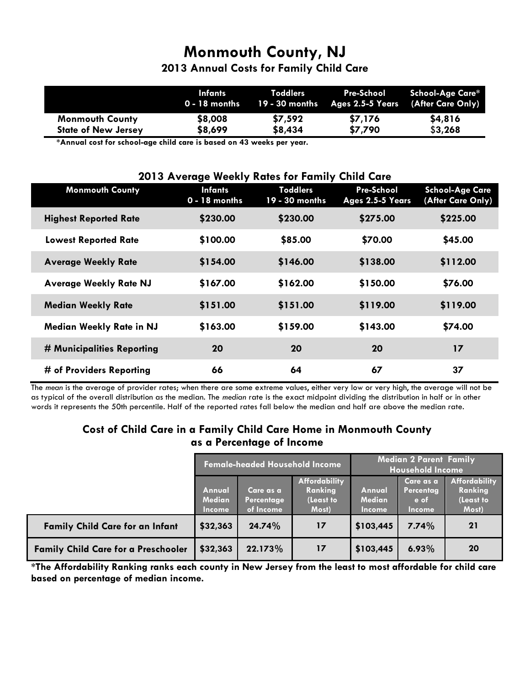**2013 Annual Costs for Family Child Care**

|                            | <b>Infants</b> | Toddlers | 0 - 18 months 19 - 30 months Ages 2.5-5 Years (After Care Only) | Pre-School School-Age Care* |
|----------------------------|----------------|----------|-----------------------------------------------------------------|-----------------------------|
| <b>Monmouth County</b>     | \$8,008        | \$7,592  | \$7,176                                                         | \$4,816                     |
| <b>State of New Jersey</b> | \$8,699        | \$8,434  | \$7,790                                                         | \$3,268                     |

 **\*Annual cost for school-age child care is based on 43 weeks per year.**

| 2013 Average Weekly Rates for Family Child Care |                                   |                                   |                                |                                             |  |  |
|-------------------------------------------------|-----------------------------------|-----------------------------------|--------------------------------|---------------------------------------------|--|--|
| <b>Monmouth County</b>                          | <b>Infants</b><br>$0 - 18$ months | <b>Toddlers</b><br>19 - 30 months | Pre-School<br>Ages 2.5-5 Years | <b>School-Age Care</b><br>(After Care Only) |  |  |
| <b>Highest Reported Rate</b>                    | \$230.00                          | \$230.00                          | \$275.00                       | \$225.00                                    |  |  |
| <b>Lowest Reported Rate</b>                     | \$100.00                          | \$85.00                           | \$70.00                        | \$45.00                                     |  |  |
| <b>Average Weekly Rate</b>                      | \$154.00                          | \$146.00                          | \$138.00                       | \$112.00                                    |  |  |
| <b>Average Weekly Rate NJ</b>                   | \$167.00                          | \$162.00                          | \$150.00                       | \$76.00                                     |  |  |
| <b>Median Weekly Rate</b>                       | \$151.00                          | \$151.00                          | \$119.00                       | \$119.00                                    |  |  |
| <b>Median Weekly Rate in NJ</b>                 | \$163.00                          | \$159.00                          | \$143.00                       | \$74.00                                     |  |  |
| # Municipalities Reporting                      | 20                                | 20                                | 20                             | 17                                          |  |  |
| # of Providers Reporting                        | 66                                | 64                                | 67                             | 37                                          |  |  |

The *mean* is the average of provider rates; when there are some extreme values, either very low or very high, the average will not be as typical of the overall distribution as the median. The *median* rate is the exact midpoint dividing the distribution in half or in other words it represents the 50th percentile. Half of the reported rates fall below the median and half are above the median rate.

#### **Cost of Child Care in a Family Child Care Home in Monmouth County as a Percentage of Income**

|                                            | <b>Female-headed Household Income</b> |                                         |                                                       | <b>Median 2 Parent Family</b><br><b>Household Income</b> |                                                 |                                                       |
|--------------------------------------------|---------------------------------------|-----------------------------------------|-------------------------------------------------------|----------------------------------------------------------|-------------------------------------------------|-------------------------------------------------------|
|                                            | Annual<br>Median<br><b>Income</b>     | 'Care as a .<br>Percentage<br>of Income | <b>Affordability</b><br>Ranking<br>(Least to<br>Most) | Annual<br><b>Median</b><br><b>Income</b>                 | Care as a<br>Percentag<br>e of<br><b>Income</b> | <b>Affordability</b><br>Ranking<br>(Least to<br>Most) |
| <b>Family Child Care for an Infant</b>     | \$32,363                              | 24.74%                                  | 17                                                    | \$103,445                                                | 7.74%                                           | <b>21</b>                                             |
| <b>Family Child Care for a Preschooler</b> | \$32,363                              | 22.173%                                 | 17                                                    | \$103,445                                                | 6.93%                                           | 20                                                    |

**\*The Affordability Ranking ranks each county in New Jersey from the least to most affordable for child care based on percentage of median income.**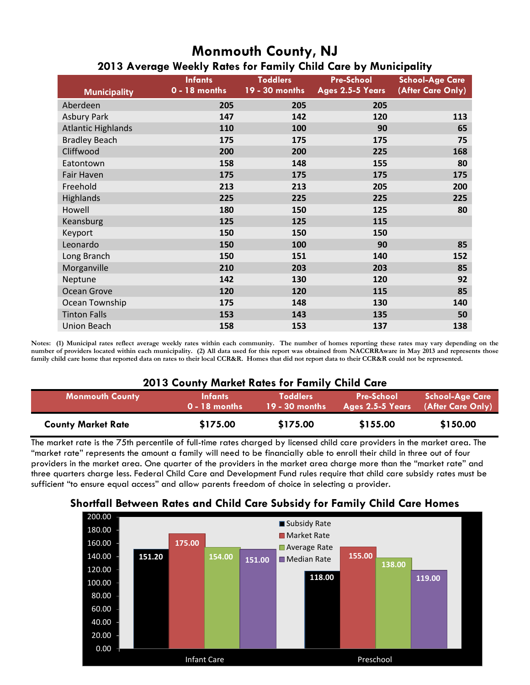|                           | - 9 - - - -<br>. , |                 |                   |                        |  |  |  |  |  |
|---------------------------|--------------------|-----------------|-------------------|------------------------|--|--|--|--|--|
|                           | <b>Infants</b>     | <b>Toddlers</b> | <b>Pre-School</b> | <b>School-Age Care</b> |  |  |  |  |  |
| <b>Municipality</b>       | $0 - 18$ months    | 19 - 30 months  | Ages 2.5-5 Years  | (After Care Only)      |  |  |  |  |  |
| Aberdeen                  | 205                | 205             | 205               |                        |  |  |  |  |  |
| <b>Asbury Park</b>        | 147                | 142             | 120               | 113                    |  |  |  |  |  |
| <b>Atlantic Highlands</b> | 110                | 100             | 90                | 65                     |  |  |  |  |  |
| <b>Bradley Beach</b>      | 175                | 175             | 175               | 75                     |  |  |  |  |  |
| Cliffwood                 | 200                | 200             | 225               | 168                    |  |  |  |  |  |
| Eatontown                 | 158                | 148             | 155               | 80                     |  |  |  |  |  |
| Fair Haven                | 175                | 175             | 175               | 175                    |  |  |  |  |  |
| Freehold                  | 213                | 213             | 205               | 200                    |  |  |  |  |  |
| <b>Highlands</b>          | 225                | 225             | 225               | 225                    |  |  |  |  |  |
| Howell                    | 180                | 150             | 125               | 80                     |  |  |  |  |  |
| Keansburg                 | 125                | 125             | 115               |                        |  |  |  |  |  |
| Keyport                   | 150                | 150             | 150               |                        |  |  |  |  |  |
| Leonardo                  | 150                | 100             | 90                | 85                     |  |  |  |  |  |
| Long Branch               | 150                | 151             | 140               | 152                    |  |  |  |  |  |
| Morganville               | 210                | 203             | 203               | 85                     |  |  |  |  |  |
| Neptune                   | 142                | 130             | 120               | 92                     |  |  |  |  |  |
| Ocean Grove               | 120                | 120             | 115               | 85                     |  |  |  |  |  |
| Ocean Township            | 175                | 148             | 130               | 140                    |  |  |  |  |  |
| <b>Tinton Falls</b>       | 153                | 143             | 135               | 50                     |  |  |  |  |  |
| <b>Union Beach</b>        | 158                | 153             | 137               | 138                    |  |  |  |  |  |

### **Monmouth County, NJ 2013 Average Weekly Rates for Family Child Care by Municipality**

**Notes: (1) Municipal rates reflect average weekly rates within each community. The number of homes reporting these rates may vary depending on the number of providers located within each municipality. (2) All data used for this report was obtained from NACCRRAware in May 2013 and represents those family child care home that reported data on rates to their local CCR&R. Homes that did not report data to their CCR&R could not be represented.** 

#### **2013 County Market Rates for Family Child Care**

| <b>Monmouth County</b>    | <b>Infants</b>  | <b>Toddlers</b>  | <b>Pre-School</b> | <b>School-Age Care</b> |
|---------------------------|-----------------|------------------|-------------------|------------------------|
|                           | $0 - 18$ months | $19 - 30$ months | Ages 2.5-5 Years  | (After Care Only)      |
| <b>County Market Rate</b> | \$175.00        | \$175.00         | \$155.00          | \$150.00               |

The market rate is the 75th percentile of full-time rates charged by licensed child care providers in the market area. The "market rate" represents the amount a family will need to be financially able to enroll their child in three out of four providers in the market area. One quarter of the providers in the market area charge more than the "market rate" and three quarters charge less. Federal Child Care and Development Fund rules require that child care subsidy rates must be sufficient "to ensure equal access" and allow parents freedom of choice in selecting a provider.



#### **Shortfall Between Rates and Child Care Subsidy for Family Child Care Homes**